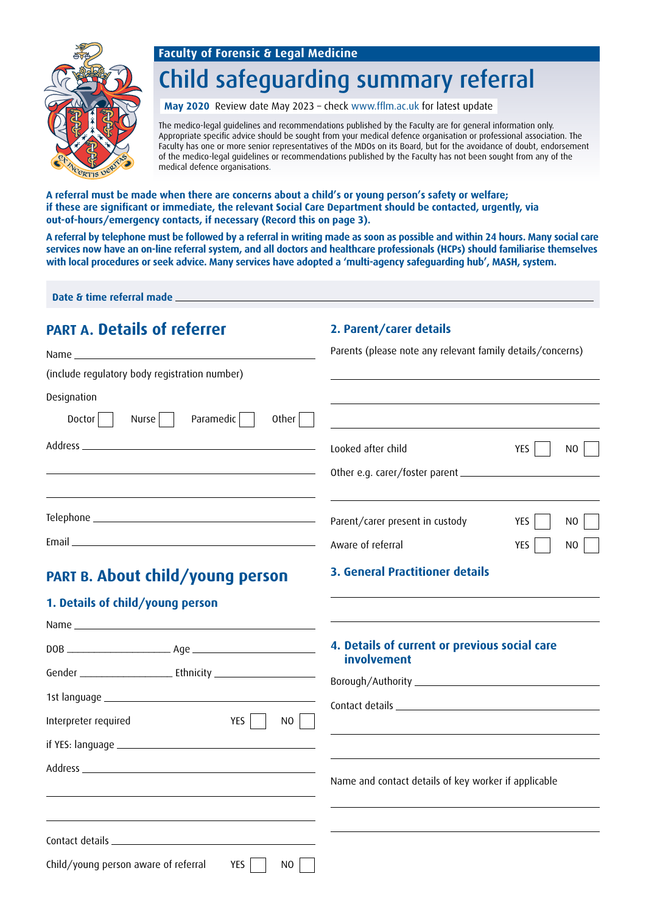#### **Faculty of Forensic & Legal Medicine**



# Child safeguarding summary referral

**May 2020** Review date May 2023 – check www.fflm.ac.uk for latest update

The medico-legal guidelines and recommendations published by the Faculty are for general information only. Appropriate specific advice should be sought from your medical defence organisation or professional association. The Faculty has one or more senior representatives of the MDOs on its Board, but for the avoidance of doubt, endorsement of the medico-legal guidelines or recommendations published by the Faculty has not been sought from any of the medical defence organisations.

**A referral must be made when there are concerns about a child's or young person's safety or welfare; if these are significant or immediate, the relevant Social Care Department should be contacted, urgently, via out-of-hours/emergency contacts, if necessary (Record this on page 3).** 

**A referral by telephone must be followed by a referral in writing made as soon as possible and within 24 hours. Many social care services now have an on-line referral system, and all doctors and healthcare professionals (HCPs) should familiarise themselves with local procedures or seek advice. Many services have adopted a 'multi-agency safeguarding hub', MASH, system.**

**Date & time referral made**

#### **PART A. Details of referrer**

#### **2. Parent/carer details**

**3. General Practitioner details**

Parents (please note any relevant family details/concerns) Looked after child YES NO Other e.g. carer/foster parent Parent/carer present in custody YES | NO Aware of referral NO Name (include regulatory body registration number) Designation  $Doster$  Nurse Paramedic Other Address Telephone Email

### **PART B. About child/young person**

#### **1. Details of child/young person**

|                                                    | 4. Details of current or previous social care<br><i>involvement</i>                                                                                                                                                           |
|----------------------------------------------------|-------------------------------------------------------------------------------------------------------------------------------------------------------------------------------------------------------------------------------|
|                                                    |                                                                                                                                                                                                                               |
|                                                    |                                                                                                                                                                                                                               |
| Interpreter required<br>YES<br>NO                  | the control of the control of the control of the control of the control of the control of the control of the control of the control of the control of the control of the control of the control of the control of the control |
|                                                    |                                                                                                                                                                                                                               |
|                                                    | Name and contact details of key worker if applicable                                                                                                                                                                          |
| Child/young person aware of referral<br>YES<br>NO. |                                                                                                                                                                                                                               |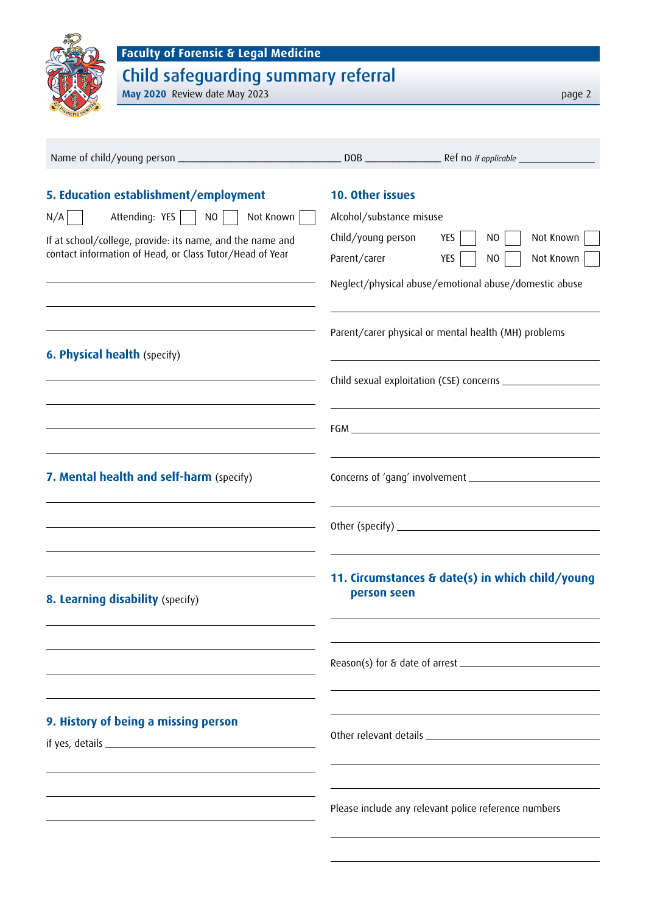| <b>Faculty of Forensic &amp; Legal Medicine</b><br>Child safeguarding summary referral |                                                                 |  |
|----------------------------------------------------------------------------------------|-----------------------------------------------------------------|--|
| May 2020 Review date May 2023                                                          | page 2                                                          |  |
|                                                                                        |                                                                 |  |
|                                                                                        |                                                                 |  |
| 5. Education establishment/employment                                                  | 10. Other issues                                                |  |
| Attending: YES     NO  <br>Not Known<br>N/A                                            | Alcohol/substance misuse                                        |  |
| If at school/college, provide: its name, and the name and                              | Child/young person<br>YES $\vert$<br>Not Known<br>N0            |  |
| contact information of Head, or Class Tutor/Head of Year                               | Parent/carer<br>YES<br>Not Known<br>N <sub>0</sub>              |  |
|                                                                                        | Neglect/physical abuse/emotional abuse/domestic abuse           |  |
| <b>6. Physical health (specify)</b>                                                    | Parent/carer physical or mental health (MH) problems            |  |
|                                                                                        |                                                                 |  |
|                                                                                        |                                                                 |  |
|                                                                                        |                                                                 |  |
| 7. Mental health and self-harm (specify)                                               |                                                                 |  |
|                                                                                        |                                                                 |  |
|                                                                                        |                                                                 |  |
| 8. Learning disability (specify)                                                       | 11. Circumstances & date(s) in which child/young<br>person seen |  |
|                                                                                        |                                                                 |  |
|                                                                                        |                                                                 |  |
| 9. History of being a missing person                                                   |                                                                 |  |
|                                                                                        |                                                                 |  |
|                                                                                        |                                                                 |  |
|                                                                                        | Please include any relevant police reference numbers            |  |
|                                                                                        |                                                                 |  |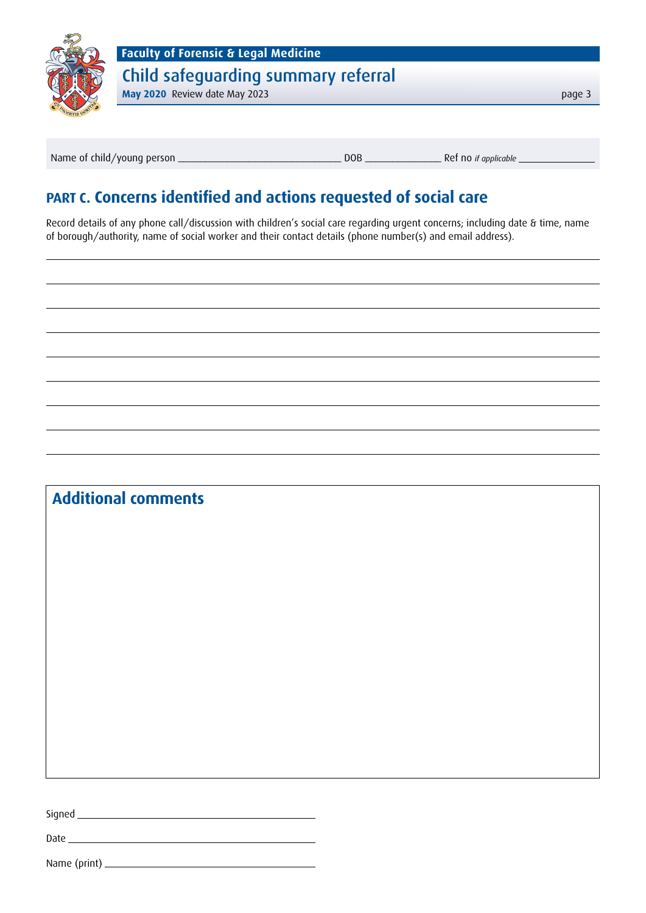

Name of child/young person \_\_\_\_\_\_\_\_\_\_\_\_\_\_\_\_\_\_\_\_\_\_\_\_\_\_\_\_\_\_ DOB \_\_\_\_\_\_\_\_\_\_\_\_\_\_ Ref no *if applicable*

## **PART C. Concerns identified and actions requested of social care**

Record details of any phone call/discussion with children's social care regarding urgent concerns; including date & time, name of borough/authority, name of social worker and their contact details (phone number(s) and email address).

## **Additional comments**

Signed

Date \_\_\_\_\_\_

Name (print)